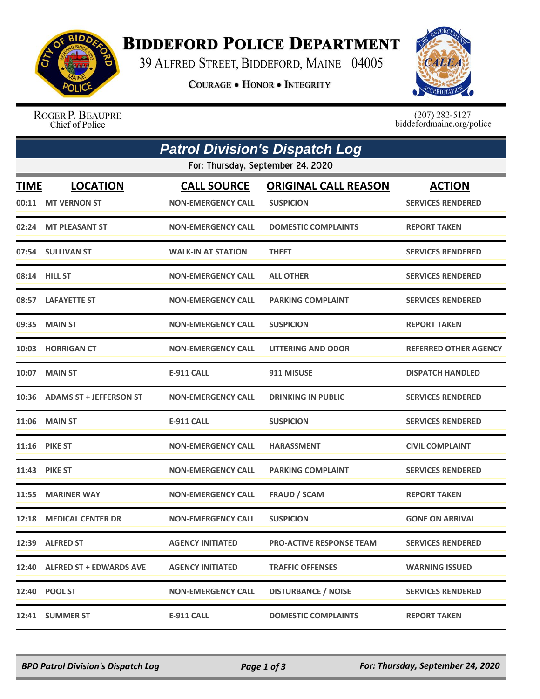

## **BIDDEFORD POLICE DEPARTMENT**

39 ALFRED STREET, BIDDEFORD, MAINE 04005

**COURAGE . HONOR . INTEGRITY** 



ROGER P. BEAUPRE Chief of Police

 $(207)$  282-5127<br>biddefordmaine.org/police

|             | <b>Patrol Division's Dispatch Log</b> |                                                 |                                                 |                                           |  |  |  |  |
|-------------|---------------------------------------|-------------------------------------------------|-------------------------------------------------|-------------------------------------------|--|--|--|--|
|             | For: Thursday, September 24, 2020     |                                                 |                                                 |                                           |  |  |  |  |
| <b>TIME</b> | <b>LOCATION</b><br>00:11 MT VERNON ST | <b>CALL SOURCE</b><br><b>NON-EMERGENCY CALL</b> | <b>ORIGINAL CALL REASON</b><br><b>SUSPICION</b> | <b>ACTION</b><br><b>SERVICES RENDERED</b> |  |  |  |  |
| 02:24       | <b>MT PLEASANT ST</b>                 | <b>NON-EMERGENCY CALL</b>                       | <b>DOMESTIC COMPLAINTS</b>                      | <b>REPORT TAKEN</b>                       |  |  |  |  |
|             | 07:54 SULLIVAN ST                     | <b>WALK-IN AT STATION</b>                       | <b>THEFT</b>                                    | <b>SERVICES RENDERED</b>                  |  |  |  |  |
|             | 08:14 HILL ST                         | <b>NON-EMERGENCY CALL</b>                       | <b>ALL OTHER</b>                                | <b>SERVICES RENDERED</b>                  |  |  |  |  |
|             | 08:57 LAFAYETTE ST                    | <b>NON-EMERGENCY CALL</b>                       | <b>PARKING COMPLAINT</b>                        | <b>SERVICES RENDERED</b>                  |  |  |  |  |
|             | 09:35 MAIN ST                         | <b>NON-EMERGENCY CALL</b>                       | <b>SUSPICION</b>                                | <b>REPORT TAKEN</b>                       |  |  |  |  |
|             | 10:03 HORRIGAN CT                     | <b>NON-EMERGENCY CALL</b>                       | <b>LITTERING AND ODOR</b>                       | <b>REFERRED OTHER AGENCY</b>              |  |  |  |  |
|             | <b>10:07 MAIN ST</b>                  | E-911 CALL                                      | 911 MISUSE                                      | <b>DISPATCH HANDLED</b>                   |  |  |  |  |
|             | 10:36 ADAMS ST + JEFFERSON ST         | <b>NON-EMERGENCY CALL</b>                       | <b>DRINKING IN PUBLIC</b>                       | <b>SERVICES RENDERED</b>                  |  |  |  |  |
|             | <b>11:06 MAIN ST</b>                  | <b>E-911 CALL</b>                               | <b>SUSPICION</b>                                | <b>SERVICES RENDERED</b>                  |  |  |  |  |
|             | <b>11:16 PIKE ST</b>                  | <b>NON-EMERGENCY CALL</b>                       | <b>HARASSMENT</b>                               | <b>CIVIL COMPLAINT</b>                    |  |  |  |  |
|             | <b>11:43 PIKE ST</b>                  | <b>NON-EMERGENCY CALL</b>                       | <b>PARKING COMPLAINT</b>                        | <b>SERVICES RENDERED</b>                  |  |  |  |  |
| 11:55       | <b>MARINER WAY</b>                    | <b>NON-EMERGENCY CALL</b>                       | <b>FRAUD / SCAM</b>                             | <b>REPORT TAKEN</b>                       |  |  |  |  |
| 12:18       | <b>MEDICAL CENTER DR</b>              | <b>NON-EMERGENCY CALL</b>                       | <b>SUSPICION</b>                                | <b>GONE ON ARRIVAL</b>                    |  |  |  |  |
|             | 12:39 ALFRED ST                       | <b>AGENCY INITIATED</b>                         | <b>PRO-ACTIVE RESPONSE TEAM</b>                 | <b>SERVICES RENDERED</b>                  |  |  |  |  |
|             | 12:40 ALFRED ST + EDWARDS AVE         | <b>AGENCY INITIATED</b>                         | <b>TRAFFIC OFFENSES</b>                         | <b>WARNING ISSUED</b>                     |  |  |  |  |
|             | 12:40 POOL ST                         | <b>NON-EMERGENCY CALL</b>                       | <b>DISTURBANCE / NOISE</b>                      | <b>SERVICES RENDERED</b>                  |  |  |  |  |
|             | 12:41 SUMMER ST                       | E-911 CALL                                      | <b>DOMESTIC COMPLAINTS</b>                      | <b>REPORT TAKEN</b>                       |  |  |  |  |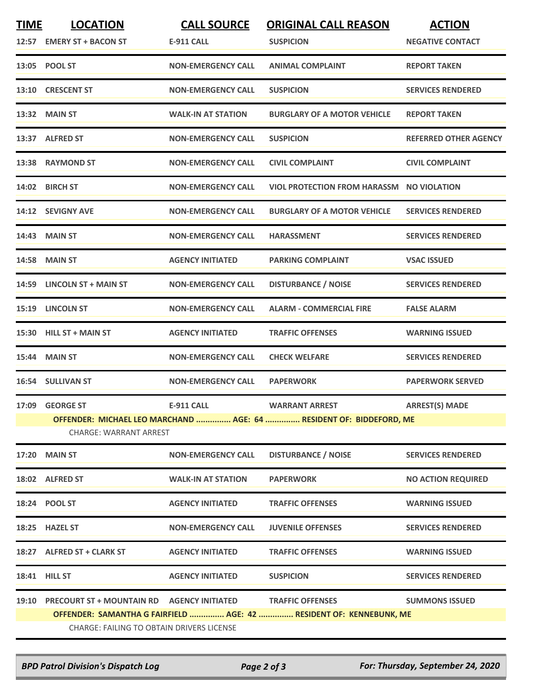| <b>TIME</b> | <b>LOCATION</b><br>12:57 EMERY ST + BACON ST                                                         | <b>CALL SOURCE</b><br><b>E-911 CALL</b> | <b>ORIGINAL CALL REASON</b><br><b>SUSPICION</b>                                                | <b>ACTION</b><br><b>NEGATIVE CONTACT</b> |  |  |
|-------------|------------------------------------------------------------------------------------------------------|-----------------------------------------|------------------------------------------------------------------------------------------------|------------------------------------------|--|--|
|             | 13:05 POOL ST                                                                                        | <b>NON-EMERGENCY CALL</b>               | <b>ANIMAL COMPLAINT</b>                                                                        | <b>REPORT TAKEN</b>                      |  |  |
| 13:10       | <b>CRESCENT ST</b>                                                                                   | <b>NON-EMERGENCY CALL</b>               | <b>SUSPICION</b>                                                                               | <b>SERVICES RENDERED</b>                 |  |  |
|             | 13:32 MAIN ST                                                                                        | <b>WALK-IN AT STATION</b>               | <b>BURGLARY OF A MOTOR VEHICLE</b>                                                             | <b>REPORT TAKEN</b>                      |  |  |
|             | 13:37 ALFRED ST                                                                                      | <b>NON-EMERGENCY CALL</b>               | <b>SUSPICION</b>                                                                               | REFERRED OTHER AGENCY                    |  |  |
|             | 13:38 RAYMOND ST                                                                                     | <b>NON-EMERGENCY CALL</b>               | <b>CIVIL COMPLAINT</b>                                                                         | <b>CIVIL COMPLAINT</b>                   |  |  |
|             | 14:02 BIRCH ST                                                                                       | <b>NON-EMERGENCY CALL</b>               | <b>VIOL PROTECTION FROM HARASSM NO VIOLATION</b>                                               |                                          |  |  |
|             | 14:12 SEVIGNY AVE                                                                                    | <b>NON-EMERGENCY CALL</b>               | <b>BURGLARY OF A MOTOR VEHICLE</b>                                                             | <b>SERVICES RENDERED</b>                 |  |  |
|             | 14:43 MAIN ST                                                                                        | <b>NON-EMERGENCY CALL</b>               | <b>HARASSMENT</b>                                                                              | <b>SERVICES RENDERED</b>                 |  |  |
| 14:58       | <b>MAIN ST</b>                                                                                       | <b>AGENCY INITIATED</b>                 | <b>PARKING COMPLAINT</b>                                                                       | <b>VSAC ISSUED</b>                       |  |  |
|             | 14:59 LINCOLN ST + MAIN ST                                                                           | <b>NON-EMERGENCY CALL</b>               | <b>DISTURBANCE / NOISE</b>                                                                     | <b>SERVICES RENDERED</b>                 |  |  |
|             | 15:19 LINCOLN ST                                                                                     | <b>NON-EMERGENCY CALL</b>               | <b>ALARM - COMMERCIAL FIRE</b>                                                                 | <b>FALSE ALARM</b>                       |  |  |
| 15:30       | <b>HILL ST + MAIN ST</b>                                                                             | <b>AGENCY INITIATED</b>                 | <b>TRAFFIC OFFENSES</b>                                                                        | <b>WARNING ISSUED</b>                    |  |  |
|             | 15:44 MAIN ST                                                                                        | <b>NON-EMERGENCY CALL</b>               | <b>CHECK WELFARE</b>                                                                           | <b>SERVICES RENDERED</b>                 |  |  |
|             | 16:54 SULLIVAN ST                                                                                    | <b>NON-EMERGENCY CALL</b>               | <b>PAPERWORK</b>                                                                               | <b>PAPERWORK SERVED</b>                  |  |  |
| 17:09       | <b>GEORGE ST</b>                                                                                     | <b>E-911 CALL</b>                       | <b>WARRANT ARREST</b>                                                                          | <b>ARREST(S) MADE</b>                    |  |  |
|             | OFFENDER: MICHAEL LEO MARCHAND  AGE: 64  RESIDENT OF: BIDDEFORD, ME<br><b>CHARGE: WARRANT ARREST</b> |                                         |                                                                                                |                                          |  |  |
|             | <b>17:20 MAIN ST</b>                                                                                 | <b>NON-EMERGENCY CALL</b>               | <b>DISTURBANCE / NOISE</b>                                                                     | <b>SERVICES RENDERED</b>                 |  |  |
|             | 18:02 ALFRED ST                                                                                      | <b>WALK-IN AT STATION</b>               | <b>PAPERWORK</b>                                                                               | <b>NO ACTION REQUIRED</b>                |  |  |
|             | 18:24 POOL ST                                                                                        | <b>AGENCY INITIATED</b>                 | <b>TRAFFIC OFFENSES</b>                                                                        | <b>WARNING ISSUED</b>                    |  |  |
|             | 18:25 HAZEL ST                                                                                       | <b>NON-EMERGENCY CALL</b>               | <b>JUVENILE OFFENSES</b>                                                                       | <b>SERVICES RENDERED</b>                 |  |  |
|             | 18:27 ALFRED ST + CLARK ST                                                                           | <b>AGENCY INITIATED</b>                 | <b>TRAFFIC OFFENSES</b>                                                                        | <b>WARNING ISSUED</b>                    |  |  |
|             | <b>18:41 HILL ST</b>                                                                                 | <b>AGENCY INITIATED</b>                 | <b>SUSPICION</b>                                                                               | <b>SERVICES RENDERED</b>                 |  |  |
|             | 19:10 PRECOURT ST + MOUNTAIN RD AGENCY INITIATED<br><b>CHARGE: FAILING TO OBTAIN DRIVERS LICENSE</b> |                                         | <b>TRAFFIC OFFENSES</b><br>OFFENDER: SAMANTHA G FAIRFIELD  AGE: 42  RESIDENT OF: KENNEBUNK, ME | <b>SUMMONS ISSUED</b>                    |  |  |

*BPD Patrol Division's Dispatch Log Page 2 of 3 For: Thursday, September 24, 2020*